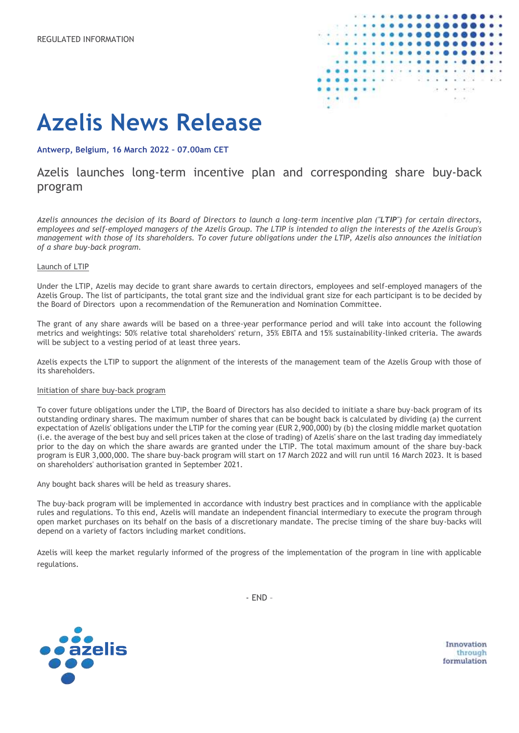

# **Azelis News Release**

#### **Antwerp, Belgium, 16 March 2022 – 07.00am CET**

## Azelis launches long-term incentive plan and corresponding share buy-back program

*Azelis announces the decision of its Board of Directors to launch a long-term incentive plan ("LTIP") for certain directors, employees and self-employed managers of the Azelis Group. The LTIP is intended to align the interests of the Azelis Group's management with those of its shareholders. To cover future obligations under the LTIP, Azelis also announces the initiation of a share buy-back program.*

#### Launch of LTIP

Under the LTIP, Azelis may decide to grant share awards to certain directors, employees and self-employed managers of the Azelis Group. The list of participants, the total grant size and the individual grant size for each participant is to be decided by the Board of Directors upon a recommendation of the Remuneration and Nomination Committee.

The grant of any share awards will be based on a three-year performance period and will take into account the following metrics and weightings: 50% relative total shareholders' return, 35% EBITA and 15% sustainability-linked criteria. The awards will be subject to a vesting period of at least three years.

Azelis expects the LTIP to support the alignment of the interests of the management team of the Azelis Group with those of its shareholders.

#### Initiation of share buy-back program

To cover future obligations under the LTIP, the Board of Directors has also decided to initiate a share buy-back program of its outstanding ordinary shares. The maximum number of shares that can be bought back is calculated by dividing (a) the current expectation of Azelis' obligations under the LTIP for the coming year (EUR 2,900,000) by (b) the closing middle market quotation (i.e. the average of the best buy and sell prices taken at the close of trading) of Azelis' share on the last trading day immediately prior to the day on which the share awards are granted under the LTIP. The total maximum amount of the share buy-back program is EUR 3,000,000. The share buy-back program will start on 17 March 2022 and will run until 16 March 2023. It is based on shareholders' authorisation granted in September 2021.

Any bought back shares will be held as treasury shares.

The buy-back program will be implemented in accordance with industry best practices and in compliance with the applicable rules and regulations. To this end, Azelis will mandate an independent financial intermediary to execute the program through open market purchases on its behalf on the basis of a discretionary mandate. The precise timing of the share buy-backs will depend on a variety of factors including market conditions.

Azelis will keep the market regularly informed of the progress of the implementation of the program in line with applicable regulations.



- END –

Innovation through formulation